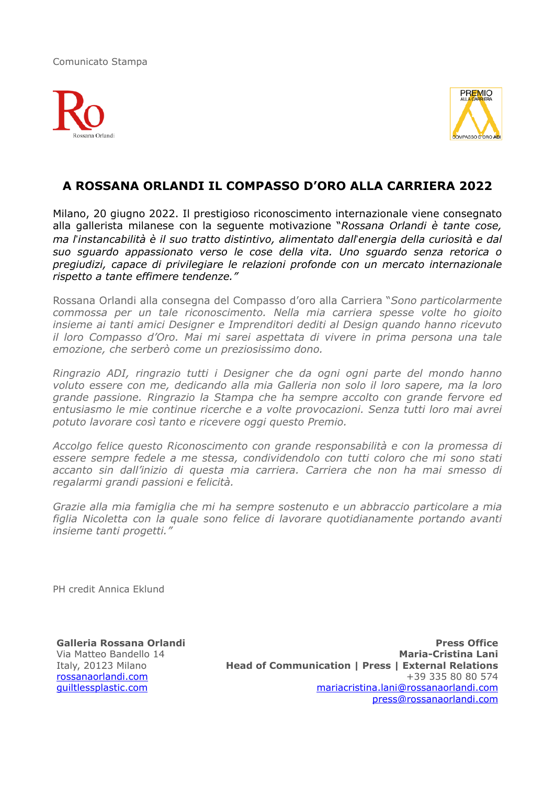Comunicato Stampa





## **A ROSSANA ORLANDI IL COMPASSO D'ORO ALLA CARRIERA 2022**

Milano, 20 giugno 2022. Il prestigioso riconoscimento internazionale viene consegnato alla gallerista milanese con la seguente motivazione "*Rossana Orlandi è tante cose, ma l*!*instancabilità è il suo tratto distintivo, alimentato dall*!*energia della curiosità e dal suo sguardo appassionato verso le cose della vita. Uno sguardo senza retorica o pregiudizi, capace di privilegiare le relazioni profonde con un mercato internazionale rispetto a tante effimere tendenze."* 

Rossana Orlandi alla consegna del Compasso d'oro alla Carriera "*Sono particolarmente commossa per un tale riconoscimento. Nella mia carriera spesse volte ho gioito insieme ai tanti amici Designer e Imprenditori dediti al Design quando hanno ricevuto il loro Compasso d'Oro. Mai mi sarei aspettata di vivere in prima persona una tale emozione, che serberò come un preziosissimo dono.* 

*Ringrazio ADI, ringrazio tutti i Designer che da ogni ogni parte del mondo hanno voluto essere con me, dedicando alla mia Galleria non solo il loro sapere, ma la loro grande passione. Ringrazio la Stampa che ha sempre accolto con grande fervore ed entusiasmo le mie continue ricerche e a volte provocazioni. Senza tutti loro mai avrei potuto lavorare così tanto e ricevere oggi questo Premio.* 

*Accolgo felice questo Riconoscimento con grande responsabilità e con la promessa di essere sempre fedele a me stessa, condividendolo con tutti coloro che mi sono stati accanto sin dall'inizio di questa mia carriera. Carriera che non ha mai smesso di regalarmi grandi passioni e felicità.* 

*Grazie alla mia famiglia che mi ha sempre sostenuto e un abbraccio particolare a mia figlia Nicoletta con la quale sono felice di lavorare quotidianamente portando avanti insieme tanti progetti."* 

PH credit Annica Eklund

**Galleria Rossana Orlandi**  Via Matteo Bandello 14 Italy, 20123 Milano [rossanaorlandi.com](http://rossanaorlandi.com) [guiltlessplastic.com](http://guiltlessplastic.com)

**Press Office Maria-Cristina Lani Head of Communication | Press | External Relations**  +39 335 80 80 574 [mariacristina.lani@rossanaorlandi.com](mailto:mariacristina.lani@rossanaorlandi.com) [press@rossanaorlandi.com](mailto:press@rossanaorlandi.com)